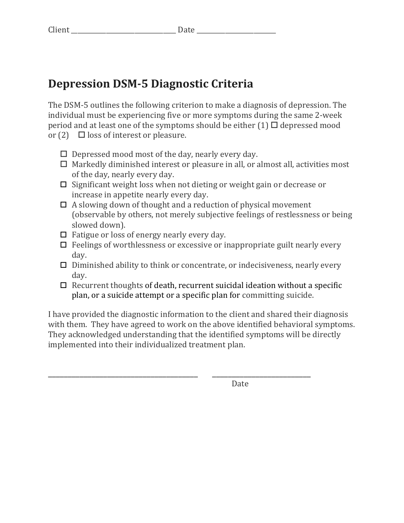## **Depression DSM-5 Diagnostic Criteria**

The DSM-5 outlines the following criterion to make a diagnosis of depression. The individual must be experiencing five or more symptoms during the same 2-week period and at least one of the symptoms should be either  $(1)$   $\Box$  depressed mood or  $(2)$   $\Box$  loss of interest or pleasure.

- $\Box$  Depressed mood most of the day, nearly every day.
- $\Box$  Markedly diminished interest or pleasure in all, or almost all, activities most of the day, nearly every day.
- $\Box$  Significant weight loss when not dieting or weight gain or decrease or increase in appetite nearly every day.
- $\Box$  A slowing down of thought and a reduction of physical movement (observable by others, not merely subjective feelings of restlessness or being slowed down).
- $\Box$  Fatigue or loss of energy nearly every day.
- $\Box$  Feelings of worthlessness or excessive or inappropriate guilt nearly every day.
- $\Box$  Diminished ability to think or concentrate, or indecisiveness, nearly every day.
- $\Box$  Recurrent thoughts of death, recurrent suicidal ideation without a specific plan, or a suicide attempt or a specific plan for committing suicide.

I have provided the diagnostic information to the client and shared their diagnosis with them. They have agreed to work on the above identified behavioral symptoms. They acknowledged understanding that the identified symptoms will be directly implemented into their individualized treatment plan.

\_\_\_\_\_\_\_\_\_\_\_\_\_\_\_\_\_\_\_\_\_\_\_\_\_\_\_\_\_\_\_\_\_\_\_\_\_\_ \_\_\_\_\_\_\_\_\_\_\_\_\_\_\_\_\_\_\_\_\_\_\_\_\_

 Date